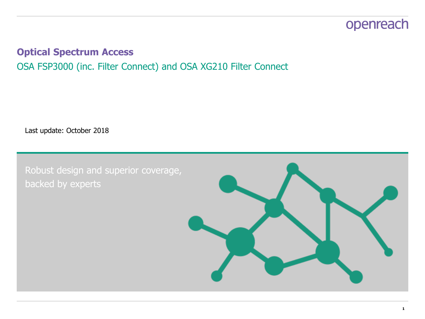### **Optical Spectrum Access** OSA FSP3000 (inc. Filter Connect) and OSA XG210 Filter Connect

Last update: October 2018

Robust design and superior coverage, backed by experts

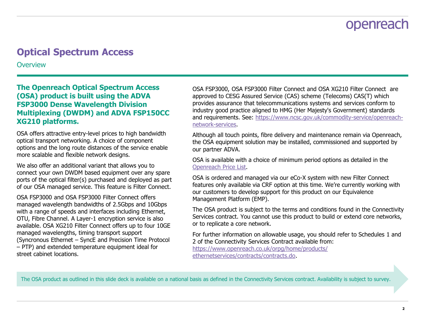### **Optical Spectrum Access**

**Overview** 

#### **The Openreach Optical Spectrum Access (OSA) product is built using the ADVA FSP3000 Dense Wavelength Division Multiplexing (DWDM) and ADVA FSP150CC XG210 platforms.**

OSA offers attractive entry-level prices to high bandwidth optical transport networking. A choice of component options and the long route distances of the service enable more scalable and flexible network designs.

We also offer an additional variant that allows you to connect your own DWDM based equipment over any spare ports of the optical filter(s) purchased and deployed as part of our OSA managed service. This feature is Filter Connect.

OSA FSP3000 and OSA FSP3000 Filter Connect offers managed wavelength bandwidths of 2.5Gbps and 10Gbps with a range of speeds and interfaces including Ethernet, OTU, Fibre Channel. A Layer-1 encryption service is also available. OSA XG210 Filter Connect offers up to four 10GE managed wavelengths, timing transport support (Syncronous Ethernet – SyncE and Precision Time Protocol – PTP) and extended temperature equipment ideal for street cabinet locations.

OSA FSP3000, OSA FSP3000 Filter Connect and OSA XG210 Filter Connect are approved to CESG Assured Service (CAS) scheme (Telecoms) CAS(T) which provides assurance that telecommunications systems and services conform to industry good practice aligned to HMG (Her Majesty's Government) standards and requirements. See: [https://www.ncsc.gov.uk/commodity-service/openreach](https://www.ncsc.gov.uk/commodity-service/openreach-network-services)[network-services](https://www.ncsc.gov.uk/commodity-service/openreach-network-services).

Although all touch points, fibre delivery and maintenance remain via Openreach, the OSA equipment solution may be installed, commissioned and supported by our partner ADVA.

OSA is available with a choice of minimum period options as detailed in the [Openreach Price List.](https://www.openreach.co.uk/orpg/home/products/pricing/loadProductPriceDetails.do?data=NYi8APidowr%2Bbghq2bp1lTA1Qq62Iq84hjXAzqsrsMlZ6rNZujnCs99NbIKJZPD9hXYmiijxH6wrCQm97GZMyQ%3D%3D)

OSA is ordered and managed via our eCo-X system with new Filter Connect features only available via CRF option at this time. We're currently working with our customers to develop support for this product on our Equivalence Management Platform (EMP).

The OSA product is subject to the terms and conditions found in the Connectivity Services contract. You cannot use this product to build or extend core networks, or to replicate a core network.

For further information on allowable usage, you should refer to Schedules 1 and 2 of the Connectivity Services Contract available from: [https://www.openreach.co.uk/orpg/home/products/](https://www.openreach.co.uk/orpg/home/products/ethernetservices/contracts/contracts.do) [ethernetservices/contracts/contracts.do.](https://www.openreach.co.uk/orpg/home/products/ethernetservices/contracts/contracts.do)

The OSA product as outlined in this slide deck is available on a national basis as defined in the Connectivity Services contract. Availability is subject to survey.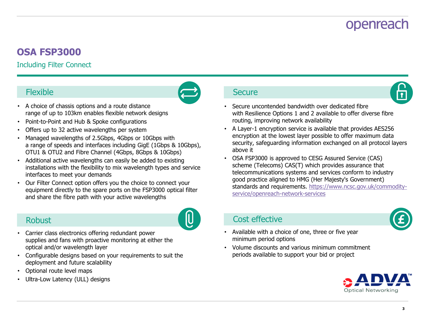### **OSA FSP3000**

### Including Filter Connect



- A choice of chassis options and a route distance range of up to 103km enables flexible network designs
- Point-to-Point and Hub & Spoke configurations
- Offers up to 32 active wavelengths per system
- Managed wavelengths of 2.5Gbps, 4Gbps or 10Gbps with a range of speeds and interfaces including GigE (1Gbps & 10Gbps), OTU1 & OTU2 and Fibre Channel (4Gbps, 8Gbps & 10Gbps)
- Additional active wavelengths can easily be added to existing installations with the flexibility to mix wavelength types and service interfaces to meet your demands
- Our Filter Connect option offers you the choice to connect your equipment directly to the spare ports on the FSP3000 optical filter and share the fibre path with your active wavelengths

### **Robust**



- Carrier class electronics offering redundant power supplies and fans with proactive monitoring at either the optical and/or wavelength layer
- Configurable designs based on your requirements to suit the deployment and future scalability
- Optional route level maps
- Ultra-Low Latency (ULL) designs



- Secure uncontended bandwidth over dedicated fibre with Resilience Options 1 and 2 available to offer diverse fibre routing, improving network availability
- A Layer-1 encryption service is available that provides AES256 encryption at the lowest layer possible to offer maximum data security, safeguarding information exchanged on all protocol layers above it
- OSA FSP3000 is approved to CESG Assured Service (CAS) scheme (Telecoms) CAS(T) which provides assurance that telecommunications systems and services conform to industry good practice aligned to HMG (Her Majesty's Government) standards and requirements. [https://www.ncsc.gov.uk/commodity](https://www.ncsc.gov.uk/commodity-service/openreach-network-services)[service/openreach-network-services](https://www.ncsc.gov.uk/commodity-service/openreach-network-services)

### Cost effective



- Available with a choice of one, three or five year minimum period options
- Volume discounts and various minimum commitment periods available to support your bid or project

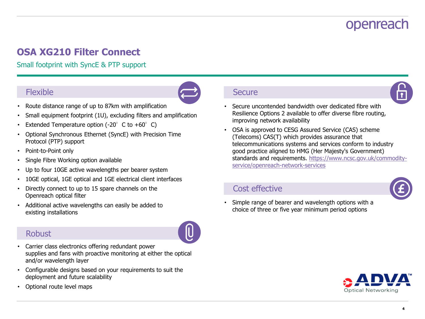### **OSA XG210 Filter Connect**

Small footprint with SyncE & PTP support

### Flexible



- Route distance range of up to 87km with amplification
- Small equipment footprint (1U), excluding filters and amplification
- Extended Temperature option (-20 $^{\circ}$  C to +60 $^{\circ}$  C)
- Optional Synchronous Ethernet (SyncE) with Precision Time Protocol (PTP) support
- Point-to-Point only
- Single Fibre Working option available
- Up to four 10GE active wavelengths per bearer system
- 10GE optical, 1GE optical and 1GE electrical client interfaces
- Directly connect to up to 15 spare channels on the Openreach optical filter
- Additional active wavelengths can easily be added to existing installations

### **Robust**

- Carrier class electronics offering redundant power supplies and fans with proactive monitoring at either the optical and/or wavelength layer
- Configurable designs based on your requirements to suit the deployment and future scalability
- Optional route level maps

#### **Secure**



- Secure uncontended bandwidth over dedicated fibre with Resilience Options 2 available to offer diverse fibre routing, improving network availability
- OSA is approved to CESG Assured Service (CAS) scheme (Telecoms) CAS(T) which provides assurance that telecommunications systems and services conform to industry good practice aligned to HMG (Her Majesty's Government) standards and requirements. [https://www.ncsc.gov.uk/commodity](https://www.ncsc.gov.uk/commodity-service/openreach-network-services)[service/openreach-network-services](https://www.ncsc.gov.uk/commodity-service/openreach-network-services)

#### Cost effective



• Simple range of bearer and wavelength options with a choice of three or five year minimum period options



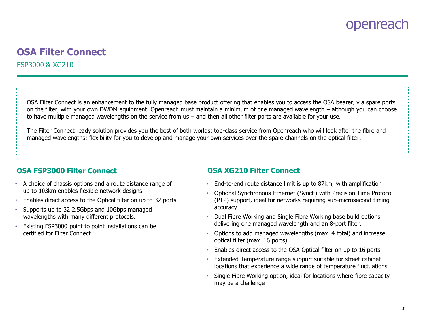### **OSA Filter Connect** FSP3000 & XG210

OSA Filter Connect is an enhancement to the fully managed base product offering that enables you to access the OSA bearer, via spare ports on the filter, with your own DWDM equipment. Openreach must maintain a minimum of one managed wavelength – although you can choose to have multiple managed wavelengths on the service from us – and then all other filter ports are available for your use.

The Filter Connect ready solution provides you the best of both worlds: top-class service from Openreach who will look after the fibre and managed wavelengths: flexibility for you to develop and manage your own services over the spare channels on the optical filter.

#### **OSA FSP3000 Filter Connect Connect Connect Connect Connect Connect Connect Connect Connect Connect Connect Connect Connect Connect Connect Connect Connect Connect Connect Connect Connect Connect Connect Connect Connect Co**

- A choice of chassis options and a route distance range of up to 103km enables flexible network designs
- Enables direct access to the Optical filter on up to 32 ports
- Supports up to 32 2.5Gbps and 10Gbps managed wavelengths with many different protocols.
- Existing FSP3000 point to point installations can be certified for Filter Connect

- End-to-end route distance limit is up to 87km, with amplification
- Optional Synchronous Ethernet (SyncE) with Precision Time Protocol (PTP) support, ideal for networks requiring sub-microsecond timing accuracy
- Dual Fibre Working and Single Fibre Working base build options delivering one managed wavelength and an 8-port filter.
- Options to add managed wavelengths (max. 4 total) and increase optical filter (max. 16 ports)
- Enables direct access to the OSA Optical filter on up to 16 ports
- Extended Temperature range support suitable for street cabinet locations that experience a wide range of temperature fluctuations
- Single Fibre Working option, ideal for locations where fibre capacity may be a challenge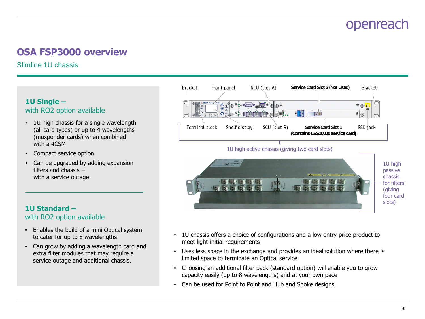### **OSA FSP3000 overview**

Slimline 1U chassis

#### **1U Single –** with RO2 option available

- 1U high chassis for a single wavelength (all card types) or up to 4 wavelengths (muxponder cards) when combined with a 4CSM
- Compact service option
- Can be upgraded by adding expansion filters and chassis – with a service outage.

#### **1U Standard –** with RO2 option available

- Enables the build of a mini Optical system to cater for up to 8 wavelengths
- Can grow by adding a wavelength card and extra filter modules that may require a service outage and additional chassis.



#### 1U high active chassis (giving two card slots)



- 1U chassis offers a choice of configurations and a low entry price product to meet light initial requirements
- Uses less space in the exchange and provides an ideal solution where there is limited space to terminate an Optical service
- Choosing an additional filter pack (standard option) will enable you to grow capacity easily (up to 8 wavelengths) and at your own pace
- Can be used for Point to Point and Hub and Spoke designs.

#### **6**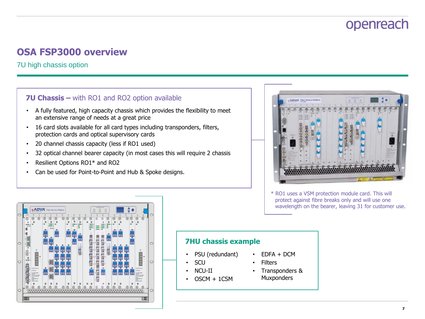### **OSA FSP3000 overview**

7U high chassis option

#### **7U Chassis –** with RO1 and RO2 option available

- A fully featured, high capacity chassis which provides the flexibility to meet an extensive range of needs at a great price
- 16 card slots available for all card types including transponders, filters, protection cards and optical supervisory cards
- 20 channel chassis capacity (less if RO1 used)
- 32 optical channel bearer capacity (in most cases this will require 2 chassis
- Resilient Options RO1\* and RO2
- Can be used for Point-to-Point and Hub & Spoke designs.



\* RO1 uses a VSM protection module card. This will protect against fibre breaks only and will use one wavelength on the bearer, leaving 31 for customer use.

|        |                                                      |                                                                                                             | <b>ADVA</b><br>Cicibi of ArmyCentral |                                      |                                                                     | <b>Fiber Service Platform</b> |                       |                                                  |                                               |                                                                           |                           |                                             | О<br>C<br><b>CERV</b> | ALARSE STATUS<br><b>POOL</b>                                  | O<br><b>Year</b>                                      |                                                             |                                                       |                          |                                              |                                                                                                                       |                            |    |
|--------|------------------------------------------------------|-------------------------------------------------------------------------------------------------------------|--------------------------------------|--------------------------------------|---------------------------------------------------------------------|-------------------------------|-----------------------|--------------------------------------------------|-----------------------------------------------|---------------------------------------------------------------------------|---------------------------|---------------------------------------------|-----------------------|---------------------------------------------------------------|-------------------------------------------------------|-------------------------------------------------------------|-------------------------------------------------------|--------------------------|----------------------------------------------|-----------------------------------------------------------------------------------------------------------------------|----------------------------|----|
|        | $\frac{1}{2}$<br>w<br>ø<br>$-0.044$<br><b>O</b> Noad | $\circ$<br>⊚<br>G                                                                                           | $\circ$<br>◎                         | $\circ$<br>◎<br>⊛<br>$\overline{10}$ | $\circ$<br>◎<br>$\circledast$<br>$-0.0141$<br>$-0.0$<br><b>Ofen</b> | $\circ$<br>◎<br>废             | $\circ$<br>$^{\circ}$ | $\circ$<br>$\circ$<br>$\circledast$<br>$\bullet$ | $\circ$<br>$\circ$<br>$\oplus$<br>$\sim$<br>۰ | $\mathcal{Q}$<br>$\circ$<br>$\circledast$<br>$e$ $\neq$ 0 and<br>×0<br>co | $\frac{8}{10}$<br>$\circ$ | $\frac{0}{n}$<br>$\circ$<br>$\alpha$<br>ni. | $\frac{0}{2}$         | $\frac{0}{1}$<br>s<br><b>Ballio e</b> trial<br>00000000000    | $\circ$<br>$-14$<br>$\circ$<br>$^*$<br>itt. z @ @ucel | $\circ$<br>s<br>$\circ$<br>$\circledast$<br>$\overline{16}$ | $\circ$<br>w<br>O<br>$\circledast$<br>$\overline{10}$ | $\frac{Q}{R}$<br>$\odot$ | o<br>w<br>◎<br>$^{\circ}$<br>$\overline{10}$ | $\mathcal{Q}_i$<br>⊚<br>$\circledast$                                                                                 | $\frac{Q}{21}$<br>$\odot$  |    |
|        | ø<br>n.                                              |                                                                                                             | $\rightarrow$<br>16                  | $u \otimes v$<br>п                   | . @<br>M                                                            |                               |                       | $\sqrt{2}$<br>۵                                  | .9<br>h'i                                     | .0<br>A1.                                                                 |                           |                                             | 0.000110              | ٠<br>$\overline{\phantom{a}}$                                 | .6<br>u                                               | $v = 1$<br>à1                                               | $-9.5$<br>٠                                           |                          | $u \otimes v$<br>a,                          |                                                                                                                       | <b>ARK</b><br>$\infty$     |    |
| $\cup$ | ø<br>俤<br>166                                        | <b>Soda For Furty!</b><br>APRATIONS<br><b>WATPLE FORES</b><br>55,908                                        | 00000<br>٠<br>٠<br>$\sim$            | Ĥ                                    |                                                                     |                               |                       | и                                                |                                               | <b>keeps</b><br>٠<br><b>Louis</b>                                         |                           |                                             | ۰<br>ca) O            | $\rightarrow$<br>$\alpha$<br>₩<br>m<br>10:<br><b>CMT</b><br>× | ш<br>ы                                                | H                                                           | ٠<br>m                                                | Ħ<br>Ń                   | ٠                                            | <b>Smith Ford Funny!</b><br>khainov<br><b>MATRIZ FORES</b><br>55,90k                                                  | ۰<br>ø<br>ø<br>œ<br>e<br>œ | ⊂. |
|        | ×                                                    | ALMAND DOGDAMACT<br>BONNOVEK,NET<br>max<br>DISONATING<br><b>Hotel</b><br>POGER SOURCE<br>$\circledast$<br>⊚ | 6                                    | ®<br>G)<br>                          | 8<br>ø                                                              | (o)                           | 60)                   | $\bigoplus$<br>⊚                                 | Æ<br>(o)                                      | C<br>- T                                                                  | $\circ$                   | $\left( \circ \right)$                      |                       |                                                               | 优<br>$\omega$                                         | $\theta$<br>$\circ$                                         | e<br>(o)                                              | $\omega$                 | 医<br>6                                       | NAMES DISCOVERED.<br>BOTH POINDRUNES<br>max<br>DISCONAUTING<br><b>PRINT</b><br>POSER SOURCE<br>$\bigoplus$<br>$\circ$ | $\circ$                    |    |

#### **7HU chassis example**

- PSU (redundant)
- SCU
- NCU-II
- $OSCM + 1CSM$
- EDFA + DCM • Filters
- Transponders &
	- **Muxponders**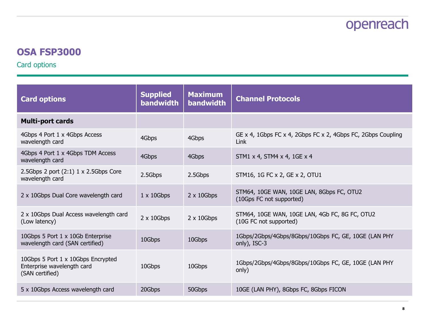### **OSA FSP3000**

Card options

| <b>Card options</b>                                                                 | <b>Supplied</b><br><b>bandwidth</b> | <b>Maximum</b><br><b>bandwidth</b> | <b>Channel Protocols</b>                                                 |
|-------------------------------------------------------------------------------------|-------------------------------------|------------------------------------|--------------------------------------------------------------------------|
| <b>Multi-port cards</b>                                                             |                                     |                                    |                                                                          |
| 4Gbps 4 Port 1 x 4Gbps Access<br>wavelength card                                    | 4Gbps                               | 4Gbps                              | GE x 4, 1Gbps FC x 4, 2Gbps FC x 2, 4Gbps FC, 2Gbps Coupling<br>Link     |
| 4Gbps 4 Port 1 x 4Gbps TDM Access<br>wavelength card                                | 4Gbps                               | 4Gbps                              | STM1 x 4, STM4 x 4, 1GE x 4                                              |
| 2.5Gbps 2 port $(2:1)$ 1 x 2.5Gbps Core<br>wavelength card                          | 2.5Gbps                             | 2.5Gbps                            | STM16, 1G FC x 2, GE x 2, OTU1                                           |
| 2 x 10Gbps Dual Core wavelength card                                                | $1 \times 10$ Gbps                  | $2 \times 10$ Gbps                 | STM64, 10GE WAN, 10GE LAN, 8Gbps FC, OTU2<br>(10Gps FC not supported)    |
| 2 x 10Gbps Dual Access wavelength card<br>(Low latency)                             | $2 \times 10$ Gbps                  | $2 \times 10$ Gbps                 | STM64, 10GE WAN, 10GE LAN, 4Gb FC, 8G FC, OTU2<br>(10G FC not supported) |
| 10Gbps 5 Port 1 x 10Gb Enterprise<br>wavelength card (SAN certified)                | 10Gbps                              | 10Gbps                             | 1Gbps/2Gbps/4Gbps/8Gbps/10Gbps FC, GE, 10GE (LAN PHY<br>only), ISC-3     |
| 10Gbps 5 Port 1 x 10Gbps Encrypted<br>Enterprise wavelength card<br>(SAN certified) | 10Gbps                              | 10Gbps                             | 1Gbps/2Gbps/4Gbps/8Gbps/10Gbps FC, GE, 10GE (LAN PHY<br>only)            |
| 5 x 10Gbps Access wavelength card                                                   | 20Gbps                              | 50Gbps                             | 10GE (LAN PHY), 8Gbps FC, 8Gbps FICON                                    |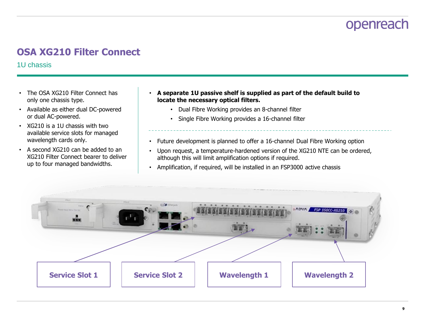### **OSA XG210 Filter Connect**

1U chassis

- The OSA XG210 Filter Connect has only one chassis type.
- Available as either dual DC-powered or dual AC-powered.
- XG210 is a 1U chassis with two available service slots for managed wavelength cards only.
- A second XG210 can be added to an XG210 Filter Connect bearer to deliver up to four managed bandwidths.
- **A separate 1U passive shelf is supplied as part of the default build to locate the necessary optical filters.**
	- Dual Fibre Working provides an 8-channel filter
	- Single Fibre Working provides a 16-channel filter
- Future development is planned to offer a 16-channel Dual Fibre Working option
- Upon request, a temperature-hardened version of the XG210 NTE can be ordered, although this will limit amplification options if required.
- Amplification, if required, will be installed in an FSP3000 active chassis

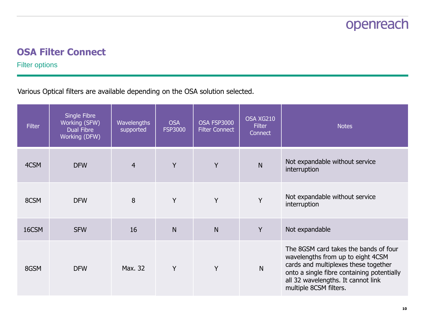### **OSA Filter Connect**

Filter options

Various Optical filters are available depending on the OSA solution selected.

| <b>Filter</b> | Single Fibre<br>Working (SFW)<br>Dual Fibre<br>Working (DFW) | <b>Wavelengths</b><br>supported | <b>OSA</b><br><b>FSP3000</b> | OSA FSP3000<br><b>Filter Connect</b> | OSA XG210<br><b>Filter</b><br>Connect | <b>Notes</b>                                                                                                                                                                                                                     |  |  |  |  |
|---------------|--------------------------------------------------------------|---------------------------------|------------------------------|--------------------------------------|---------------------------------------|----------------------------------------------------------------------------------------------------------------------------------------------------------------------------------------------------------------------------------|--|--|--|--|
| 4CSM          | <b>DFW</b>                                                   | $\overline{4}$                  | Y                            | Y                                    | $\mathsf{N}$                          | Not expandable without service<br>interruption                                                                                                                                                                                   |  |  |  |  |
| 8CSM          | <b>DFW</b>                                                   | 8                               | Y                            | Y                                    | Y                                     | Not expandable without service<br>interruption                                                                                                                                                                                   |  |  |  |  |
| 16CSM         | <b>SFW</b>                                                   | 16                              | N                            | N                                    | Y                                     | Not expandable                                                                                                                                                                                                                   |  |  |  |  |
| 8GSM          | <b>DFW</b>                                                   | Max. 32                         | Y                            | Y                                    | $\mathsf{N}$                          | The 8GSM card takes the bands of four<br>wavelengths from up to eight 4CSM<br>cards and multiplexes these together<br>onto a single fibre containing potentially<br>all 32 wavelengths. It cannot link<br>multiple 8CSM filters. |  |  |  |  |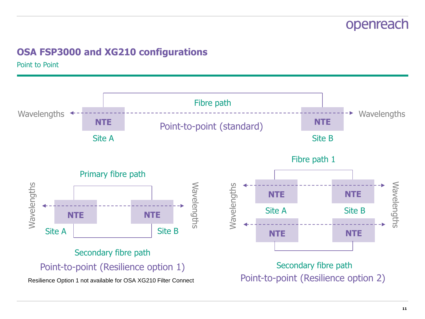### **OSA FSP3000 and XG210 configurations**

Point to Point

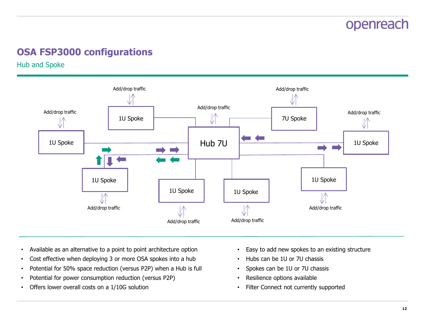### **OSA FSP3000 configurations**

Hub and Spoke



- Available as an alternative to a point to point architecture option
- Cost effective when deploying 3 or more OSA spokes into a hub
- Potential for 50% space reduction (versus P2P) when a Hub is full
- Potential for power consumption reduction (versus P2P)
- Offers lower overall costs on a 1/10G solution
- Easy to add new spokes to an existing structure
- Hubs can be 1U or 7U chassis
- Spokes can be 1U or 7U chassis
- Resilience options available
- Filter Connect not currently supported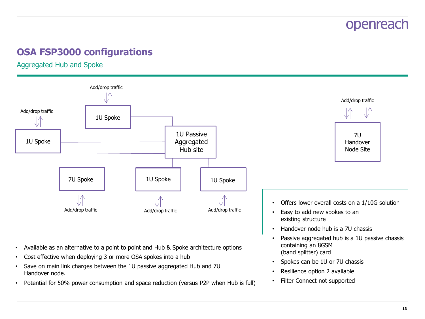### **OSA FSP3000 configurations**

Aggregated Hub and Spoke



- Available as an alternative to a point to point and Hub & Spoke architecture options
- Cost effective when deploying 3 or more OSA spokes into a hub
- Save on main link charges between the 1U passive aggregated Hub and 7U Handover node.
- Potential for 50% power consumption and space reduction (versus P2P when Hub is full)
- containing an 8GSM (band splitter) card
- Spokes can be 1U or 7U chassis
- Resilience option 2 available
- Filter Connect not supported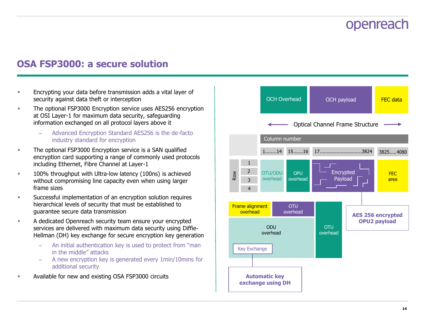### **OSA FSP3000: a secure solution**

- **Encrypting your data before transmission adds a vital layer of** security against data theft or interception
- **The optional FSP3000 Encryption service uses AES256 encryption** at OSI Layer-1 for maximum data security, safeguarding information exchanged on all protocol layers above it
	- Advanced Encryption Standard AES256 is the de-facto industry standard for encryption
- **The optional FSP3000 Encryption service is a SAN qualified** encryption card supporting a range of commonly used protocols including Ethernet, Fibre Channel at Layer-1
- **100%** throughput with Ultra-low latency (100ns) is achieved without compromising line capacity even when using larger frame sizes
- Successful implementation of an encryption solution requires hierarchical levels of security that must be established to guarantee secure data transmission
- **A** dedicated Openreach security team ensure your encrypted services are delivered with maximum data security using Diffie-Hellman (DH) key exchange for secure encryption key generation
	- An initial authentication key is used to protect from "man in the middle" attacks
	- A new encryption key is generated every 1min/10mins for additional security
- Available for new and existing OSA FSP3000 circuits

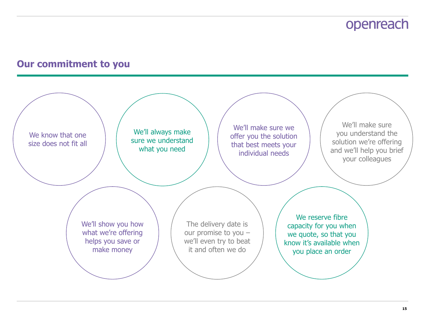### **Our commitment to you**

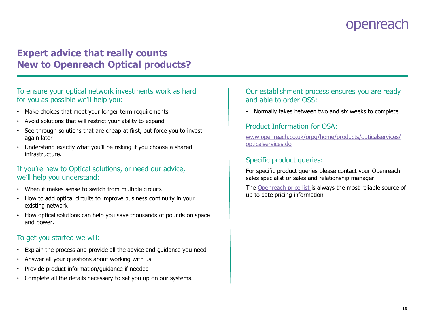### **Expert advice that really counts New to Openreach Optical products?**

#### To ensure your optical network investments work as hard for you as possible we'll help you:

- Make choices that meet your longer term requirements
- Avoid solutions that will restrict your ability to expand
- See through solutions that are cheap at first, but force you to invest again later
- Understand exactly what you'll be risking if you choose a shared infrastructure.

#### If you're new to Optical solutions, or need our advice, we'll help you understand:

- When it makes sense to switch from multiple circuits
- How to add optical circuits to improve business continuity in your existing network
- How optical solutions can help you save thousands of pounds on space and power.

#### To get you started we will:

- Explain the process and provide all the advice and guidance you need
- Answer all your questions about working with us
- Provide product information/guidance if needed
- Complete all the details necessary to set you up on our systems.

Our establishment process ensures you are ready and able to order OSS:

• Normally takes between two and six weeks to complete.

#### Product Information for OSA:

[www.openreach.co.uk/orpg/home/products/opticalservices/](http://www.openreach.co.uk/orpg/home/products/opticalservices/opticalservices.do) [opticalservices.do](http://www.openreach.co.uk/orpg/home/products/opticalservices/opticalservices.do)

#### Specific product queries:

For specific product queries please contact your Openreach sales specialist or sales and relationship manager

The [Openreach price list i](https://www.openreach.co.uk/orpg/home/products/pricing/loadPricing.do)s always the most reliable source of up to date pricing information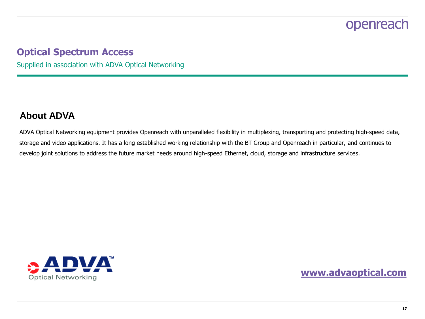### **Optical Spectrum Access**

Supplied in association with ADVA Optical Networking

### **About ADVA**

ADVA Optical Networking equipment provides Openreach with unparalleled flexibility in multiplexing, transporting and protecting high-speed data, storage and video applications. It has a long established working relationship with the BT Group and Openreach in particular, and continues to develop joint solutions to address the future market needs around high-speed Ethernet, cloud, storage and infrastructure services.



**[www.advaoptical.com](http://www.advaoptical.com/)**